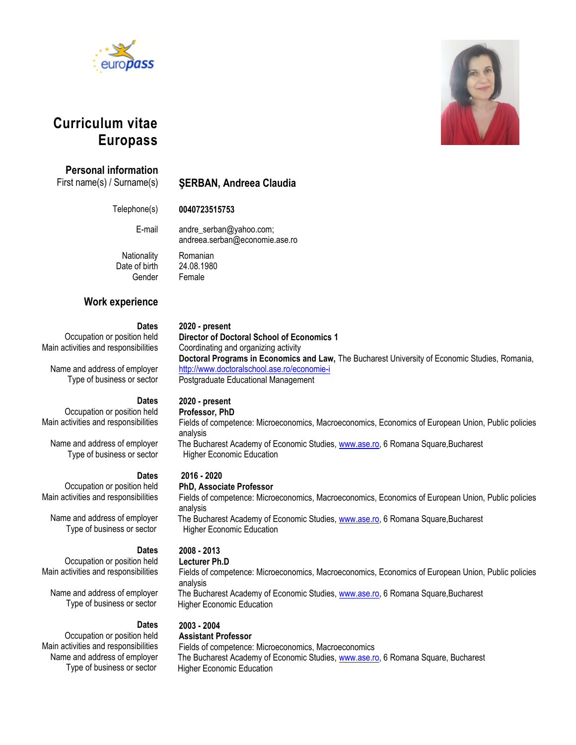



# **Curriculum vitae Europass**

## **Personal information**

First name(s) / Surname(s) **ŞERBAN, Andreea Claudia**

Telephone(s) **0040723515753**

E-mail andre\_serban@yahoo.com; andreea.serban@economie.ase.ro

**Director of Doctoral School of Economics 1** 

<http://www.doctoralschool.ase.ro/economie-i> Postgraduate Educational Management

Coordinating and organizing activity

Date of birth 24.08.1980 Gender Female

Nationality Romanian

**2020 - present**

## **Work experience**

### **Dates**

Occupation or position held Main activities and responsibilities

Name and address of employer Type of business or sector

### **Dates**

# **2020 - present**

Occupation or position held Main activities and responsibilities

Name and address of employer Type of business or sector

Occupation or position held Main activities and responsibilities

Name and address of employer Type of business or sector

Main activities and responsibilities

Name and address of employer Type of business or sector

Main activities and responsibilities Name and address of employer Type of business or sector

#### **Dates 2016 - 2020**

### **PhD, Associate Professor**

Fields of competence: Microeconomics, Macroeconomics, Economics of European Union, Public policies analysis

**Doctoral Programs in Economics and Law,** The Bucharest University of Economic Studies, Romania,

The Bucharest Academy of Economic Studies, [www.ase.ro,](http://www.ase.ro/) 6 Romana Square,Bucharest Higher Economic Education

#### **Dates** Occupation or position held **2008 - 2013**

## **Lecturer Ph.D**

Fields of competence: Microeconomics, Macroeconomics, Economics of European Union, Public policies analysis The Bucharest Academy of Economic Studies[, www.ase.ro,](http://www.ase.ro/) 6 Romana Square,Bucharest Higher Economic Education

#### **Dates** Occupation or position held **2003 - 2004**

## **Assistant Professor**

Fields of competence: Microeconomics, Macroeconomics The Bucharest Academy of Economic Studies, [www.ase.ro,](http://www.ase.ro/) 6 Romana Square, Bucharest Higher Economic Education

## **Professor, PhD**

Fields of competence: Microeconomics, Macroeconomics, Economics of European Union, Public policies analysis

The Bucharest Academy of Economic Studies, [www.ase.ro,](http://www.ase.ro/) 6 Romana Square,Bucharest Higher Economic Education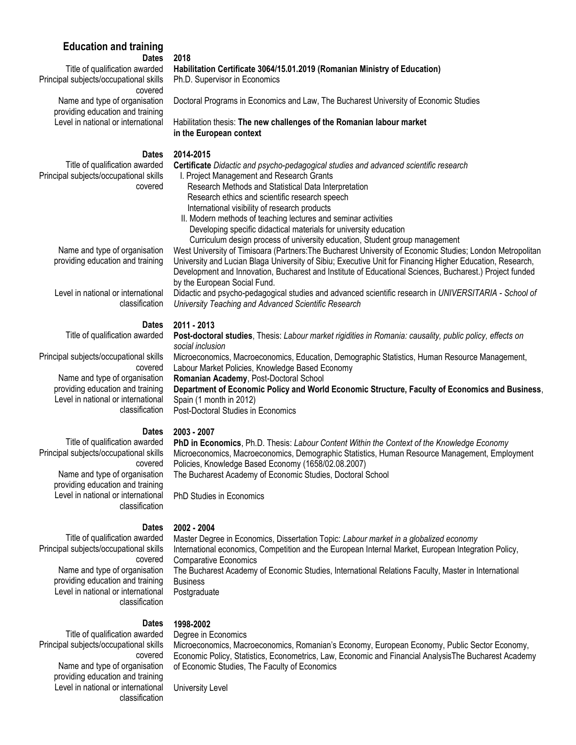# **Education and training**

# **Dates**

Title of qualification awarded Principal subjects/occupational skills covered Name and type of organisation providing education and training Level in national or international

**2018**

**Habilitation Certificate 3064/15.01.2019 (Romanian Ministry of Education)** Ph.D. Supervisor in Economics

Doctoral Programs in Economics and Law, The Bucharest University of Economic Studies

Habilitation thesis: **The new challenges of the Romanian labour market in the European context**

#### **Dates 2014-2015**

Title of qualification awarded Principal subjects/occupational skills covered **Certificate** *Didactic and psycho-pedagogical studies and advanced scientific research* I. Project Management and Research Grants Research Methods and Statistical Data Interpretation Research ethics and scientific research speech International visibility of research products II. Modern methods of teaching lectures and seminar activities Developing specific didactical materials for university education Curriculum design process of university education, Student group management West University of Timisoara (Partners:The Bucharest University of Economic Studies; London Metropolitan

University and Lucian Blaga University of Sibiu; Executive Unit for Financing Higher Education, Research, Development and Innovation, Bucharest and Institute of Educational Sciences, Bucharest.) Project funded by the European Social Fund.

Didactic and psycho-pedagogical studies and advanced scientific research in *UNIVERSITARIA - School of University Teaching and Advanced Scientific Research*

#### **Dates 2011 - 2013**

Title of qualification awarded

Principal subjects/occupational skills covered Name and type of organisation providing education and training

Level in national or international classification

#### **Dates 2003 - 2007**

 Title of qualification awarded Principal subjects/occupational skills covered Name and type of organisation providing education and training Level in national or international classification

 **Dates**  Title of qualification awarded Principal subjects/occupational skills

> covered Name and type of organisation providing education and training Level in national or international classification

 Title of qualification awarded Principal subjects/occupational skills covered Name and type of organisation providing education and training Level in national or international classification

**Post-doctoral studies**, Thesis: *Labour market rigidities in Romania: causality, public policy, effects on social inclusion* Microeconomics, Macroeconomics, Education, Demographic Statistics, Human Resource Management, Labour Market Policies, Knowledge Based Economy **Romanian Academy**, Post-Doctoral School **Department of Economic Policy and World Economic Structure, Faculty of Economics and Business**, Spain (1 month in 2012) Post-Doctoral Studies in Economics

**PhD in Economics**, Ph.D. Thesis: *Labour Content Within the Context of the Knowledge Economy* Microeconomics, Macroeconomics, Demographic Statistics, Human Resource Management, Employment Policies, Knowledge Based Economy (1658/02.08.2007) The Bucharest Academy of Economic Studies, Doctoral School

PhD Studies in Economics

## **2002 - 2004**

Master Degree in Economics, Dissertation Topic: *Labour market in a globalized economy* International economics, Competition and the European Internal Market, European Integration Policy, Comparative Economics The Bucharest Academy of Economic Studies, International Relations Faculty, Master in International **Business** Postgraduate

#### **Dates 1998-2002**

Degree in Economics Microeconomics, Macroeconomics, Romanian's Economy, European Economy, Public Sector Economy, Economic Policy, Statistics, Econometrics, Law, Economic and Financial AnalysisThe Bucharest Academy of Economic Studies, The Faculty of Economics

University Level

Name and type of organisation providing education and training

Level in national or international classification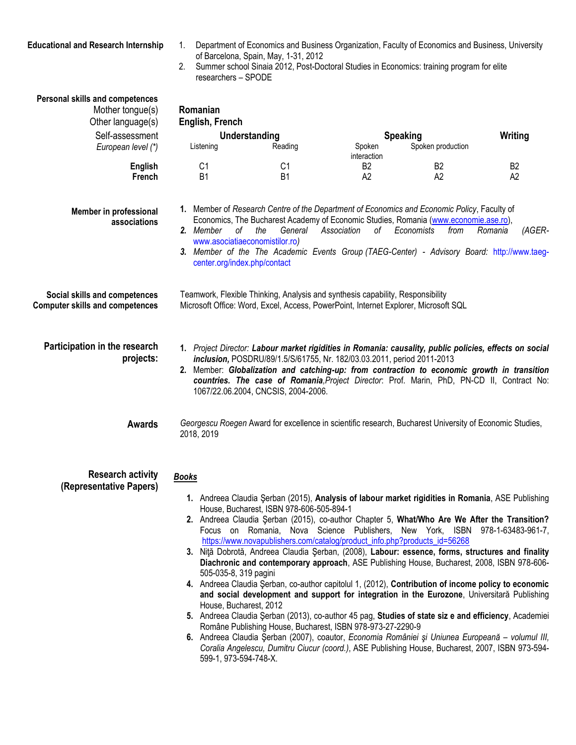- **Educational and Research Internship** 1. Department of Economics and Business Organization, Faculty of Economics and Business, University of Barcelona, Spain, May, 1-31, 2012
	- 2. Summer school Sinaia 2012, Post-Doctoral Studies in Economics: training program for elite researchers – SPODE

| Personal skills and competences                                         |                                                                                                                                                                                                                                                                                                                                                                                                                       |                                                                                                                                                                                                                                                                                                                                        |                   |                    |                   |
|-------------------------------------------------------------------------|-----------------------------------------------------------------------------------------------------------------------------------------------------------------------------------------------------------------------------------------------------------------------------------------------------------------------------------------------------------------------------------------------------------------------|----------------------------------------------------------------------------------------------------------------------------------------------------------------------------------------------------------------------------------------------------------------------------------------------------------------------------------------|-------------------|--------------------|-------------------|
| Mother tongue(s)                                                        | Romanian                                                                                                                                                                                                                                                                                                                                                                                                              |                                                                                                                                                                                                                                                                                                                                        |                   |                    |                   |
| Other language(s)                                                       | English, French                                                                                                                                                                                                                                                                                                                                                                                                       |                                                                                                                                                                                                                                                                                                                                        |                   |                    |                   |
| Self-assessment                                                         | Understanding                                                                                                                                                                                                                                                                                                                                                                                                         |                                                                                                                                                                                                                                                                                                                                        | <b>Speaking</b>   |                    | Writing           |
| European level (*)                                                      | Listening                                                                                                                                                                                                                                                                                                                                                                                                             | Reading                                                                                                                                                                                                                                                                                                                                | Spoken            | Spoken production  |                   |
|                                                                         |                                                                                                                                                                                                                                                                                                                                                                                                                       |                                                                                                                                                                                                                                                                                                                                        | interaction       |                    |                   |
| <b>English</b>                                                          | C <sub>1</sub>                                                                                                                                                                                                                                                                                                                                                                                                        | C <sub>1</sub>                                                                                                                                                                                                                                                                                                                         | B <sub>2</sub>    | B <sub>2</sub>     | B <sub>2</sub>    |
| <b>French</b>                                                           | <b>B1</b>                                                                                                                                                                                                                                                                                                                                                                                                             | <b>B1</b>                                                                                                                                                                                                                                                                                                                              | A <sub>2</sub>    | A2                 | A2                |
|                                                                         |                                                                                                                                                                                                                                                                                                                                                                                                                       |                                                                                                                                                                                                                                                                                                                                        |                   |                    |                   |
| Member in professional<br>associations                                  | оf<br>2. Member<br>center.org/index.php/contact                                                                                                                                                                                                                                                                                                                                                                       | 1. Member of Research Centre of the Department of Economics and Economic Policy, Faculty of<br>Economics, The Bucharest Academy of Economic Studies, Romania (www.economie.ase.ro),<br>the<br>General<br>www.asociatiaeconomistilor.ro)<br>3. Member of the The Academic Events Group (TAEG-Center) - Advisory Board: http://www.taeg- | Association<br>οf | Economists<br>from | Romania<br>(AGER- |
| Social skills and competences<br><b>Computer skills and competences</b> |                                                                                                                                                                                                                                                                                                                                                                                                                       | Teamwork, Flexible Thinking, Analysis and synthesis capability, Responsibility<br>Microsoft Office: Word, Excel, Access, PowerPoint, Internet Explorer, Microsoft SQL                                                                                                                                                                  |                   |                    |                   |
| Participation in the research<br>projects:                              | 1. Project Director: Labour market rigidities in Romania: causality, public policies, effects on social<br>inclusion, POSDRU/89/1.5/S/61755, Nr. 182/03.03.2011, period 2011-2013<br>2. Member: Globalization and catching-up: from contraction to economic growth in transition<br>countries. The case of Romania, Project Director: Prof. Marin, PhD, PN-CD II, Contract No:<br>1067/22.06.2004, CNCSIS, 2004-2006. |                                                                                                                                                                                                                                                                                                                                        |                   |                    |                   |
| <b>Awards</b>                                                           | 2018, 2019                                                                                                                                                                                                                                                                                                                                                                                                            | Georgescu Roegen Award for excellence in scientific research, Bucharest University of Economic Studies,                                                                                                                                                                                                                                |                   |                    |                   |
| <b>Research activity</b><br>(Representative Papers)                     | <b>Books</b>                                                                                                                                                                                                                                                                                                                                                                                                          |                                                                                                                                                                                                                                                                                                                                        |                   |                    |                   |
|                                                                         |                                                                                                                                                                                                                                                                                                                                                                                                                       | 1. Andreea Claudia Şerban (2015), Analysis of labour market rigidities in Romania, ASE Publishing                                                                                                                                                                                                                                      |                   |                    |                   |
|                                                                         |                                                                                                                                                                                                                                                                                                                                                                                                                       | House, Bucharest, ISBN 978-606-505-894-1                                                                                                                                                                                                                                                                                               |                   |                    |                   |
|                                                                         |                                                                                                                                                                                                                                                                                                                                                                                                                       | 2. Andreea Claudia Şerban (2015), co-author Chapter 5, What/Who Are We After the Transition?<br>Focus on Romania, Nova Science Publishers, New York, ISBN 978-1-63483-961-7,                                                                                                                                                           |                   |                    |                   |
|                                                                         |                                                                                                                                                                                                                                                                                                                                                                                                                       | https://www.novapublishers.com/catalog/product_info.php?products_id=56268                                                                                                                                                                                                                                                              |                   |                    |                   |
|                                                                         |                                                                                                                                                                                                                                                                                                                                                                                                                       | 3. Nită Dobrotă, Andreea Claudia Șerban, (2008), Labour: essence, forms, structures and finality                                                                                                                                                                                                                                       |                   |                    |                   |
|                                                                         |                                                                                                                                                                                                                                                                                                                                                                                                                       | Diachronic and contemporary approach, ASE Publishing House, Bucharest, 2008, ISBN 978-606-                                                                                                                                                                                                                                             |                   |                    |                   |
|                                                                         | 505-035-8, 319 pagini                                                                                                                                                                                                                                                                                                                                                                                                 |                                                                                                                                                                                                                                                                                                                                        |                   |                    |                   |
|                                                                         |                                                                                                                                                                                                                                                                                                                                                                                                                       | 4. Andreea Claudia Şerban, co-author capitolul 1, (2012), Contribution of income policy to economic                                                                                                                                                                                                                                    |                   |                    |                   |
|                                                                         |                                                                                                                                                                                                                                                                                                                                                                                                                       | and social development and support for integration in the Eurozone, Universitară Publishing                                                                                                                                                                                                                                            |                   |                    |                   |
|                                                                         | House, Bucharest, 2012                                                                                                                                                                                                                                                                                                                                                                                                |                                                                                                                                                                                                                                                                                                                                        |                   |                    |                   |
|                                                                         |                                                                                                                                                                                                                                                                                                                                                                                                                       | 5. Andreea Claudia Şerban (2013), co-author 45 pag, Studies of state siz e and efficiency, Academiei                                                                                                                                                                                                                                   |                   |                    |                   |
|                                                                         |                                                                                                                                                                                                                                                                                                                                                                                                                       | Române Publishing House, Bucharest, ISBN 978-973-27-2290-9<br>6. Andreea Claudia Șerban (2007), coautor, Economia României și Uniunea Europeană - volumul III,                                                                                                                                                                         |                   |                    |                   |
|                                                                         | 599-1, 973-594-748-X.                                                                                                                                                                                                                                                                                                                                                                                                 | Coralia Angelescu, Dumitru Ciucur (coord.), ASE Publishing House, Bucharest, 2007, ISBN 973-594-                                                                                                                                                                                                                                       |                   |                    |                   |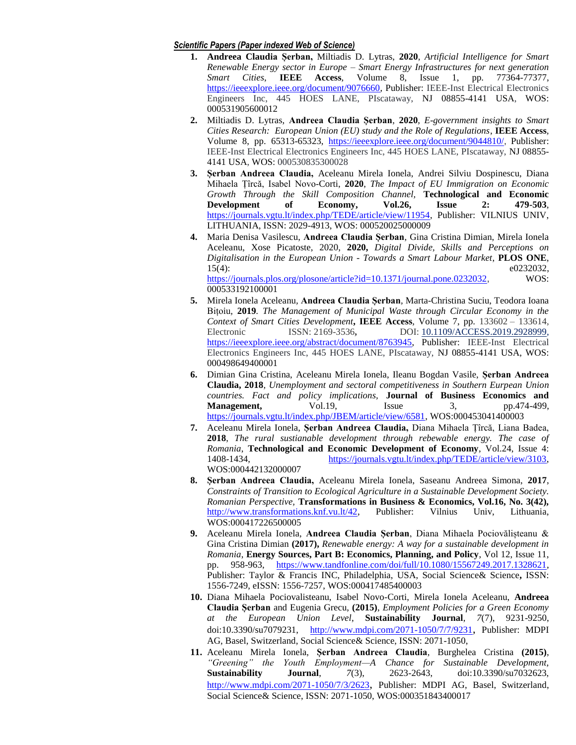#### *Scientific Papers (Paper indexed Web of Science)*

- **1. Andreea Claudia Șerban,** Miltiadis D. Lytras, **2020**, *Artificial Intelligence for Smart Renewable Energy sector in Europe – Smart Energy Infrastructures for next generation Smart Cities*, **IEEE Access***,* Volume 8, Issue 1, pp. 77364-77377, [https://ieeexplore.ieee.org/document/9076660,](https://ieeexplore.ieee.org/document/9076660) Publisher: IEEE-Inst Electrical Electronics Engineers Inc, 445 HOES LANE, PIscataway, NJ 08855-4141 USA, WOS: 000531905600012
- **2.** Miltiadis D. Lytras*,* **Andreea Claudia Șerban**, **2020**, *E-government insights to Smart Cities Research: European Union (EU) study and the Role of Regulations*, **IEEE Access***,*  Volume 8, pp. 65313-65323, <https://ieeexplore.ieee.org/document/9044810/>, Publisher: IEEE-Inst Electrical Electronics Engineers Inc, 445 HOES LANE, PIscataway, NJ 08855- 4141 USA, WOS: 000530835300028
- **3. Șerban Andreea Claudia,** Aceleanu Mirela Ionela, Andrei Silviu Dospinescu, Diana Mihaela Țîrcă, Isabel Novo-Corti, **2020**, *The Impact of EU Immigration on Economic Growth Through the Skill Composition Channel,* **Technological and Economic Development of Economy, Vol.26, Issue 2: 479-503**, [https://journals.vgtu.lt/index.php/TEDE/article/view/11954,](https://journals.vgtu.lt/index.php/TEDE/article/view/11954) Publisher: VILNIUS UNIV, LITHUANIA, ISSN: 2029-4913, WOS: 000520025000009
- **4.** Maria Denisa Vasilescu, **Andreea Claudia Șerban**, Gina Cristina Dimian, Mirela Ionela Aceleanu, Xose Picatoste, 2020, **2020,** *Digital Divide, Skills and Perceptions on Digitalisation in the European Union - Towards a Smart Labour Market*, **PLOS ONE**, 15(4): e0232032, <https://journals.plos.org/plosone/article?id=10.1371/journal.pone.0232032>, WOS: 000533192100001
- **5.** Mirela Ionela Aceleanu*,* **Andreea Claudia Șerban***,* Marta-Christina Suciu, Teodora Ioana Bițoiu*,* **2019***. [The Management of Municipal Waste through Circular Economy in the](https://ieeexplore.ieee.org/document/8763945/)  [Context of Smart Cities Development](https://ieeexplore.ieee.org/document/8763945/)***, IEEE Access***,* Volume 7, pp*.* 133602 – 133614, Electronic ISSN: 2169-3536**,** DOI: [10.1109/ACCESS.2019.2928999,](https://doi.org/10.1109/ACCESS.2019.2928999)  [https://ieeexplore.ieee.org/abstract/document/8763945,](https://ieeexplore.ieee.org/abstract/document/8763945) Publisher: IEEE-Inst Electrical Electronics Engineers Inc, 445 HOES LANE, PIscataway, NJ 08855-4141 USA, WOS: 000498649400001
- **6.** Dimian Gina Cristina, Aceleanu Mirela Ionela, Ileanu Bogdan Vasile, **Șerban Andreea Claudia, 2018***, Unemployment and sectoral competitiveness in Southern Eurpean Union countries. Fact and policy implications,* **Journal of Business Economics and Management,** Vol.19, Issue 3, pp.474-499, [https://journals.vgtu.lt/index.php/JBEM/article/view/6581,](https://journals.vgtu.lt/index.php/JBEM/article/view/6581) WOS:000453041400003
- **7.** Aceleanu Mirela Ionela, **Șerban Andreea Claudia,** Diana Mihaela Țîrcă, Liana Badea, **2018**, *The rural sustianable development through rebewable energy. The case of Romania*, **Technological and Economic Development of Economy**, Vol.24, Issue 4: 1408-1434, [https://journals.vgtu.lt/index.php/TEDE/article/view/3103,](https://journals.vgtu.lt/index.php/TEDE/article/view/3103)  WOS:000442132000007
- **8. Șerban Andreea Claudia,** Aceleanu Mirela Ionela, Saseanu Andreea Simona, **2017**, *Constraints of Transition to Ecological Agriculture in a Sustainable Development Society. Romanian Perspective,* **Transformations in Business & Economics, Vol.16, No. 3(42),**  [http://www.transformations.knf.vu.lt/42,](http://www.transformations.knf.vu.lt/42) Publisher: Vilnius Univ, Lithuania, WOS:000417226500005
- **9.** Aceleanu Mirela Ionela, **Andreea Claudia Șerban**, Diana Mihaela Pociovălișteanu & Gina Cristina Dimian **(2017),** *Renewable energy: A way for a sustainable development in Romania*, **Energy Sources, Part B: Economics, Planning, and Policy**, Vol 12, Issue 11, pp. 958-963, [https://www.tandfonline.com/doi/full/10.1080/15567249.2017.1328621,](https://www.tandfonline.com/doi/full/10.1080/15567249.2017.1328621)  Publisher: Taylor & Francis INC, Philadelphia, USA, Social Science& Science**,** ISSN: 1556-7249, eISSN: 1556-7257, WOS:000417485400003
- **10.** Diana Mihaela Pociovalisteanu, Isabel Novo-Corti, Mirela Ionela Aceleanu, **Andreea Claudia Șerban** and Eugenia Grecu, **(2015)**, *Employment Policies for a Green Economy at the European Union Level*, **Sustainability Journal**, *7*(7), 9231-9250, doi:10.3390/su7079231, <http://www.mdpi.com/2071-1050/7/7/9231>, Publisher: MDPI AG, Basel, Switzerland, Social Science& Science, ISSN: 2071-1050,
- **11.** Aceleanu Mirela Ionela, **Șerban Andreea Claudia**, Burghelea Cristina **(2015)**, *―Greening‖ the Youth Employment—A Chance for Sustainable Development,*  **Sustainability Journal**, *7*(3), 2623-2643, doi:10.3390/su7032623, <http://www.mdpi.com/2071-1050/7/3/2623>, Publisher: MDPI AG, Basel, Switzerland, Social Science& Science, ISSN: 2071-1050, WOS:000351843400017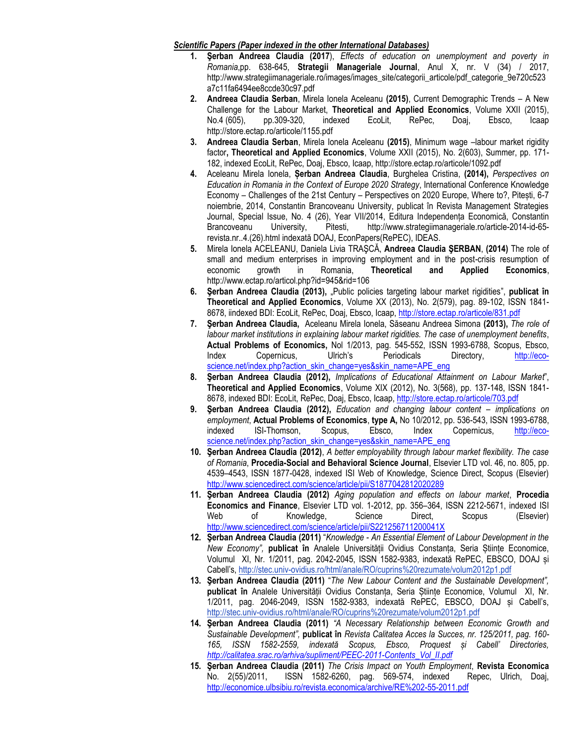### *Scientific Papers (Paper indexed in the other International Databases)*

- **1. Şerban Andreea Claudia (2017**), *Effects of education on unemployment and poverty in Romania*,pp. 638-645, **Strategii Manageriale Journal**, Anul X, nr. V (34) / 2017, http://www.strategiimanageriale.ro/images/images\_site/categorii\_articole/pdf\_categorie\_9e720c523 a7c11fa6494ee8ccde30c97.pdf
- **2. Andreea Claudia Serban**, Mirela Ionela Aceleanu **(2015)**, Current Demographic Trends A New Challenge for the Labour Market, **Theoretical and Applied Economics**, Volume XXII (2015), No.4 (605), pp.309-320, indexed EcoLit, RePec, Doaj, Ebsco, Icaap http://store.ectap.ro/articole/1155.pdf
- **3. Andreea Claudia Serban**, Mirela Ionela Aceleanu **(2015)**, Minimum wage –labour market rigidity factor**, Theoretical and Applied Economics**, Volume XXII (2015), No. 2(603), Summer, pp. 171- 182, indexed EcoLit, RePec, Doaj, Ebsco, Icaap, http://store.ectap.ro/articole/1092.pdf
- **4.** Aceleanu Mirela Ionela, **Șerban Andreea Claudia**, Burghelea Cristina, **(2014),** *Perspectives on Education in Romania in the Context of Europe 2020 Strategy*, International Conference Knowledge Economy – Challenges of the 21st Century – Perspectives on 2020 Europe, Where to?, Pitești, 6-7 noiembrie, 2014, Constantin Brancoveanu University, publicat în Revista Management Strategies Journal, Special Issue, No. 4 (26), Year VII/2014, Editura Independența Economică, Constantin Brancoveanu University, Pitesti, [http://www.strategiimanageriale.ro/article-2014-id-65](http://www.strategiimanageriale.ro/article-2014-id-65-revista.nr..4.(26).html) [revista.nr..4.\(26\).html](http://www.strategiimanageriale.ro/article-2014-id-65-revista.nr..4.(26).html) indexată DOAJ, EconPapers(RePEC), IDEAS.
- **5.** Mirela Ionela ACELEANU, Daniela Livia TRAŞCĂ, **Andreea Claudia ŞERBAN**, **(2014)** The role of small and medium enterprises in improving employment and in the post-crisis resumption of economic growth in Romania, **Theoretical and Applied Economics**, http://www.ectap.ro/articol.php?id=945&rid=106
- **6. Şerban Andreea Claudia (2013),** "Public policies targeting labour market rigidities", **publicat în Theoretical and Applied Economics**, Volume XX (2013), No. 2(579), pag. 89-102, ISSN 1841- 8678, iindexed BDI: EcoLit, RePec, Doaj, Ebsco, Icaap,<http://store.ectap.ro/articole/831.pdf>
- **7. Şerban Andreea Claudia,** Aceleanu Mirela Ionela, Săseanu Andreea Simona **(2013),** *The role of labour market institutions in explaining labour market rigidities. The case of unemployment benefits*, **Actual Problems of Economics,** Nol 1/2013, pag. 545-552, ISSN 1993-6788, Scopus, Ebsco, Index Copernicus, Ulrich's Periodicals Directory, [http://eco](http://eco-science.net/index.php?action_skin_change=yes&skin_name=APE_eng)[science.net/index.php?action\\_skin\\_change=yes&skin\\_name=APE\\_eng](http://eco-science.net/index.php?action_skin_change=yes&skin_name=APE_eng)
- **8. Şerban Andreea Claudia (2012),** *Implications of Educational Attainment on Labour Market*", **Theoretical and Applied Economics**, Volume XIX (2012), No. 3(568), pp. 137-148, ISSN 1841- 8678, indexed BDI: EcoLit, RePec, Doaj, Ebsco, Icaap,<http://store.ectap.ro/articole/703.pdf>
- **9. Şerban Andreea Claudia (2012),** *Education and changing labour content – implications on employment*, **Actual Problems of Economics**, **type A,** No 10/2012, pp. 536-543, ISSN 1993-6788, indexed ISI-Thomson, Scopus, Ebsco, Index Copernicus, [http://eco](http://eco-science.net/index.php?action_skin_change=yes&skin_name=APE_eng)[science.net/index.php?action\\_skin\\_change=yes&skin\\_name=APE\\_eng](http://eco-science.net/index.php?action_skin_change=yes&skin_name=APE_eng)
- **10. Şerban Andreea Claudia (2012)**, *A better employability through labour market flexibility. The case of Romania*, **Procedia-Social and Behavioral Science Journal**, Elsevier LTD vol. 46, no. 805, pp. 4539–4543, ISSN 1877-0428, indexed ISI Web of Knowledge, Science Direct, Scopus (Elsevier) <http://www.sciencedirect.com/science/article/pii/S1877042812020289>
- **11. Şerban Andreea Claudia (2012)** *Aging population and effects on labour market*, **Procedia Economics and Finance**, Elsevier LTD vol. 1-2012, pp. 356–364, ISSN 2212-5671, indexed ISI Web of Knowledge, Science Direct, Scopus (Elsevier) <http://www.sciencedirect.com/science/article/pii/S221256711200041X>
- **12. Şerban Andreea Claudia (2011)** "*Knowledge - An Essential Element of Labour Development in the New Economy",* **publicat în** Analele Universității Ovidius Constanța, Seria Științe Economice, Volumul XI, Nr. 1/2011, pag. 2042-2045, ISSN 1582-9383, indexată RePEC, EBSCO, DOAJ și Cabell's, <http://stec.univ-ovidius.ro/html/anale/RO/cuprins%20rezumate/volum2012p1.pdf>
- **13. Şerban Andreea Claudia (2011)** "*The New Labour Content and the Sustainable Development",* **publicat în** Analele Universității Ovidius Constanța, Seria Științe Economice, Volumul XI, Nr. 1/2011, pag. 2046-2049, ISSN 1582-9383, indexată RePEC, EBSCO, DOAJ și Cabell's, <http://stec.univ-ovidius.ro/html/anale/RO/cuprins%20rezumate/volum2012p1.pdf>
- **14. Şerban Andreea Claudia (2011)** *"A Necessary Relationship between Economic Growth and Sustainable Development",* **publicat în** *Revista Calitatea Acces la Succes, nr. 125/2011, pag. 160- 165, ISSN 1582-2559, indexată Scopus, Ebsco, Proquest și Cabell' Directories, [http://calitatea.srac.ro/arhiva/supliment/PEEC-2011-Contents\\_Vol\\_II.pdf](http://calitatea.srac.ro/arhiva/supliment/PEEC-2011-Contents_Vol_II.pdf)*
- **15. Şerban Andreea Claudia (2011)** *The Crisis Impact on Youth Employment*, **Revista Economica** No. 2(55)/2011, ISSN 1582-6260, pag. 569-574, indexed Repec, Ulrich, Doaj, <http://economice.ulbsibiu.ro/revista.economica/archive/RE%202-55-2011.pdf>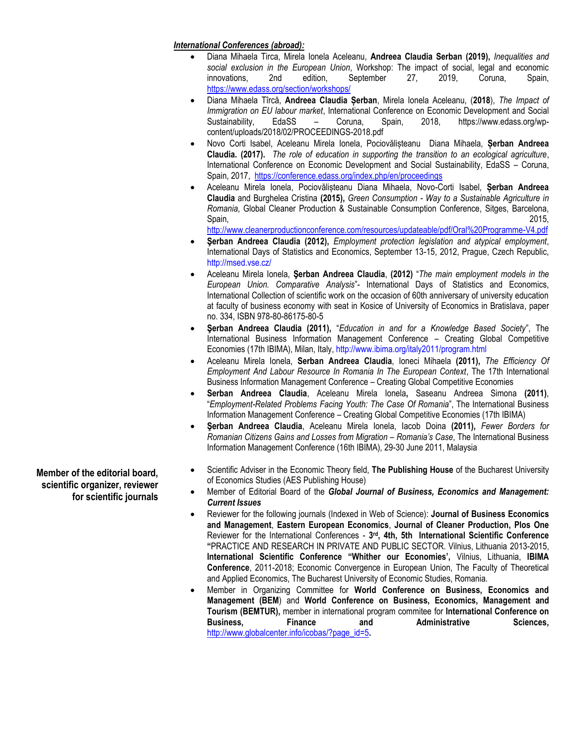### *International Conferences (abroad):*

- Diana Mihaela Tirca, Mirela Ionela Aceleanu, **Andreea Claudia Serban (2019),** *Inequalities and social exclusion in the European Union*, Workshop: The impact of social, legal and economic innovations, 2nd edition, September 27, 2019, Coruna, Spain, <https://www.edass.org/section/workshops/>
- Diana Mihaela Tîrcă, **Andreea Claudia Șerban**, Mirela Ionela Aceleanu, (**2018**), *The Impact of Immigration on EU labour market*, International Conference on Economic Development and Social Sustainability, EdaSS – Coruna, Spain, 2018, https://www.edass.org/wpcontent/uploads/2018/02/PROCEEDINGS-2018.pdf
- Novo Corti Isabel, Aceleanu Mirela Ionela, Pociovălișteanu Diana Mihaela, **Șerban Andreea Claudia. (2017).** *The role of education in supporting the transition to an ecological agriculture*, International Conference on Economic Development and Social Sustainability, EdaSS – Coruna, Spain, 2017, <https://conference.edass.org/index.php/en/proceedings>
- Aceleanu Mirela Ionela, Pociovălișteanu Diana Mihaela, Novo-Corti Isabel, **Șerban Andreea Claudia** and Burghelea Cristina **(2015),** *Green Consumption - Way to a Sustainable Agriculture in Romania*, Global Cleaner Production & Sustainable Consumption Conference, Sitges, Barcelona, Spain, 2015,

<http://www.cleanerproductionconference.com/resources/updateable/pdf/Oral%20Programme-V4.pdf>

- **Şerban Andreea Claudia (2012),** *Employment protection legislation and atypical employment*, International Days of Statistics and Economics, September 13-15, 2012, Prague, Czech Republic, <http://msed.vse.cz/>
- Aceleanu Mirela Ionela, **Şerban Andreea Claudia**, **(2012)** "*The main employment models in the European Union. Comparative Analysis*"- International Days of Statistics and Economics, International Collection of scientific work on the occasion of 60th anniversary of university education at faculty of business economy with seat in Kosice of University of Economics in Bratislava, paper no. 334, ISBN 978-80-86175-80-5
- **Şerban Andreea Claudia (2011),** "*Education in and for a Knowledge Based Society*", The International Business Information Management Conference – Creating Global Competitive Economies (17th IBIMA), Milan, Italy[, http://www.ibima.org/italy2011/program.html](http://www.ibima.org/italy2011/program.html)
- Aceleanu Mirela Ionela, **Serban Andreea Claudia**, Ioneci Mihaela **(2011),** *The Efficiency Of Employment And Labour Resource In Romania In The European Context*, The 17th International Business Information Management Conference – Creating Global Competitive Economies
- **Serban Andreea Claudia**, Aceleanu Mirela Ionela**,** Saseanu Andreea Simona **(2011)**, "*Employment-Related Problems Facing Youth: The Case Of Romania*", The International Business Information Management Conference – Creating Global Competitive Economies (17th IBIMA)
- **Şerban Andreea Claudia**, Aceleanu Mirela Ionela, Iacob Doina **(2011),** *Fewer Borders for Romanian Citizens Gains and Losses from Migration – Romania's Case*, The International Business Information Management Conference (16th IBIMA), 29-30 June 2011, Malaysia
- Scientific Adviser in the Economic Theory field, **The Publishing House** of the Bucharest University of Economics Studies (AES Publishing House)
- Member of Editorial Board of the *Global Journal of Business, Economics and Management: Current Issues*
- Reviewer for the following journals (Indexed in Web of Science): **Journal of Business Economics and Management**, **Eastern European Economics**, **Journal of Cleaner Production, Plos One** Reviewer for the International Conferences - **3 rd, 4th, 5th International Scientific Conference "**PRACTICE AND RESEARCH IN PRIVATE AND PUBLIC SECTOR. Vilnius, Lithuania 2013-2015, **International Scientific Conference "Whither our Economies',** Vilnius, Lithuania, **IBIMA Conference**, 2011-2018; Economic Convergence in European Union, The Faculty of Theoretical and Applied Economics, The Bucharest University of Economic Studies, Romania.
- Member in Organizing Committee for **World Conference on Business, Economics and Management (BEM**) and **World Conference on Business, Economics, Management and Tourism (BEMTUR),** member in international program commitee for **International Conference on Business, Finance and Administrative Sciences,**  [http://www.globalcenter.info/icobas/?page\\_id=5](http://www.globalcenter.info/icobas/?page_id=5)**.**

**Member of the editorial board, scientific organizer, reviewer for scientific journals**